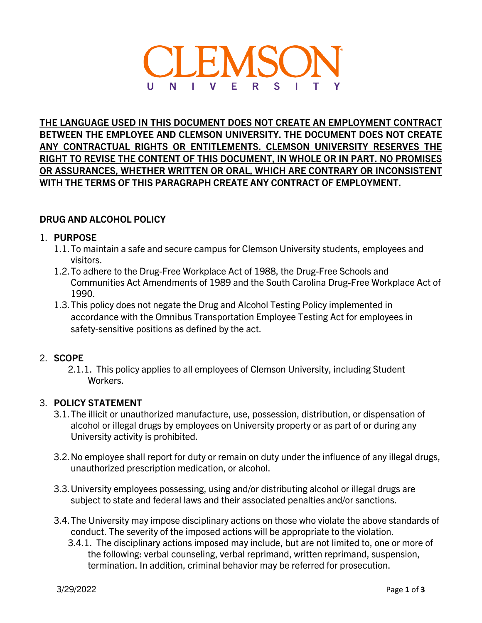

**THE LANGUAGE USED IN THIS DOCUMENT DOES NOT CREATE AN EMPLOYMENT CONTRACT BETWEEN THE EMPLOYEE AND CLEMSON UNIVERSITY. THE DOCUMENT DOES NOT CREATE ANY CONTRACTUAL RIGHTS OR ENTITLEMENTS. CLEMSON UNIVERSITY RESERVES THE RIGHT TO REVISE THE CONTENT OF THIS DOCUMENT, IN WHOLE OR IN PART. NO PROMISES OR ASSURANCES, WHETHER WRITTEN OR ORAL, WHICH ARE CONTRARY OR INCONSISTENT WITH THE TERMS OF THIS PARAGRAPH CREATE ANY CONTRACT OF EMPLOYMENT.**

## **DRUG AND ALCOHOL POLICY**

### 1. **PURPOSE**

- 1.1.To maintain a safe and secure campus for Clemson University students, employees and visitors.
- 1.2.To adhere to the Drug-Free Workplace Act of 1988, the Drug-Free Schools and Communities Act Amendments of 1989 and the South Carolina Drug-Free Workplace Act of 1990.
- 1.3.This policy does not negate the Drug and Alcohol Testing Policy implemented in accordance with the Omnibus Transportation Employee Testing Act for employees in safety-sensitive positions as defined by the act.

# 2. **SCOPE**

2.1.1. This policy applies to all employees of Clemson University, including Student Workers.

# 3. **POLICY STATEMENT**

- 3.1.The illicit or unauthorized manufacture, use, possession, distribution, or dispensation of alcohol or illegal drugs by employees on University property or as part of or during any University activity is prohibited.
- 3.2.No employee shall report for duty or remain on duty under the influence of any illegal drugs, unauthorized prescription medication, or alcohol.
- 3.3.University employees possessing, using and/or distributing alcohol or illegal drugs are subject to state and federal laws and their associated penalties and/or sanctions.
- 3.4.The University may impose disciplinary actions on those who violate the above standards of conduct. The severity of the imposed actions will be appropriate to the violation.
	- 3.4.1. The disciplinary actions imposed may include, but are not limited to, one or more of the following: verbal counseling, verbal reprimand, written reprimand, suspension, termination. In addition, criminal behavior may be referred for prosecution.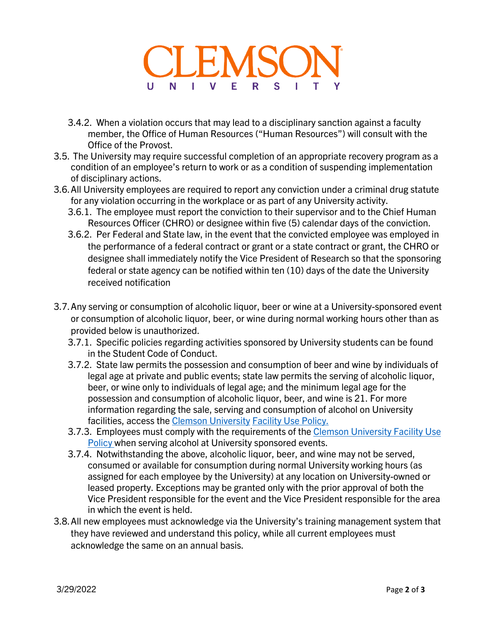

- 3.4.2. When a violation occurs that may lead to a disciplinary sanction against a faculty member, the Office of Human Resources ("Human Resources") will consult with the Office of the Provost.
- 3.5. The University may require successful completion of an appropriate recovery program as a condition of an employee's return to work or as a condition of suspending implementation of disciplinary actions.
- 3.6.All University employees are required to report any conviction under a criminal drug statute for any violation occurring in the workplace or as part of any University activity.
	- 3.6.1. The employee must report the conviction to their supervisor and to the Chief Human Resources Officer (CHRO) or designee within five (5) calendar days of the conviction.
	- 3.6.2. Per Federal and State law, in the event that the convicted employee was employed in the performance of a federal contract or grant or a state contract or grant, the CHRO or designee shall immediately notify the Vice President of Research so that the sponsoring federal or state agency can be notified within ten (10) days of the date the University received notification
- 3.7.Any serving or consumption of alcoholic liquor, beer or wine at a University-sponsored event or consumption of alcoholic liquor, beer, or wine during normal working hours other than as provided below is unauthorized.
	- 3.7.1. Specific policies regarding activities sponsored by University students can be found in the Student Code of Conduct.
	- 3.7.2. State law permits the possession and consumption of beer and wine by individuals of legal age at private and public events; state law permits the serving of alcoholic liquor, beer, or wine only to individuals of legal age; and the minimum legal age for the possession and consumption of alcoholic liquor, beer, and wine is 21. For more information regarding the sale, serving and consumption of alcohol on University facilities, access the [Clemson University](https://www.clemson.edu/campus-life/activities-events/documents/Facilities%20Use%20Policy.pdf) [Facility Use Policy.](https://www.clemson.edu/campus-life/activities-events/documents/Facilities%20Use%20Policy.pdf)
	- 3.7.3. Employees must comply with the requirements of the Clemson University Facility Use [Policy w](https://www.clemson.edu/campus-life/activities-events/documents/Facilities%20Use%20Policy.pdf)hen serving alcohol at University sponsored events.
	- 3.7.4. Notwithstanding the above, alcoholic liquor, beer, and wine may not be served, consumed or available for consumption during normal University working hours (as assigned for each employee by the University) at any location on University-owned or leased property. Exceptions may be granted only with the prior approval of both the Vice President responsible for the event and the Vice President responsible for the area in which the event is held.
- 3.8.All new employees must acknowledge via the University's training management system that they have reviewed and understand this policy, while all current employees must acknowledge the same on an annual basis.